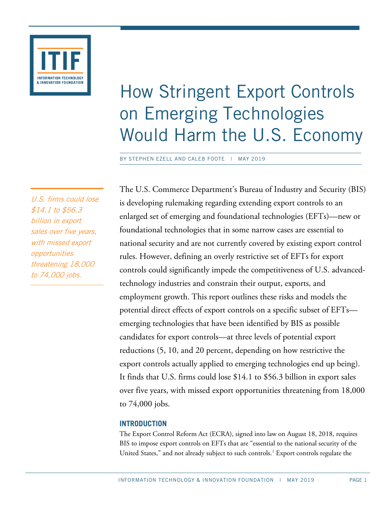

# How Stringent Export Controls on Emerging Technologies Would Harm the U.S. Economy

BY STEPHEN EZELL AND CALEB FOOTE | MAY 2019

U.S. firms could lose \$14.1 to \$56.3 billion in export sales over five years, with missed export opportunities threatening 18,000 to 74,000 jobs.

The U.S. Commerce Department's Bureau of Industry and Security (BIS) is developing rulemaking regarding extending export controls to an enlarged set of emerging and foundational technologies (EFTs)—new or foundational technologies that in some narrow cases are essential to national security and are not currently covered by existing export control rules. However, defining an overly restrictive set of EFTs for export controls could significantly impede the competitiveness of U.S. advancedtechnology industries and constrain their output, exports, and employment growth. This report outlines these risks and models the potential direct effects of export controls on a specific subset of EFTs emerging technologies that have been identified by BIS as possible candidates for export controls—at three levels of potential export reductions (5, 10, and 20 percent, depending on how restrictive the export controls actually applied to emerging technologies end up being). It finds that U.S. firms could lose \$14.1 to \$56.3 billion in export sales over five years, with missed export opportunities threatening from 18,000 to 74,000 jobs.

## **INTRODUCTION**

The Export Control Reform Act (ECRA), signed into law on August 18, 2018, requires BIS to impose export controls on EFTs that are "essential to the national security of the United States," and not already subject to such controls.<sup>[1](#page-19-0)</sup> Export controls regulate the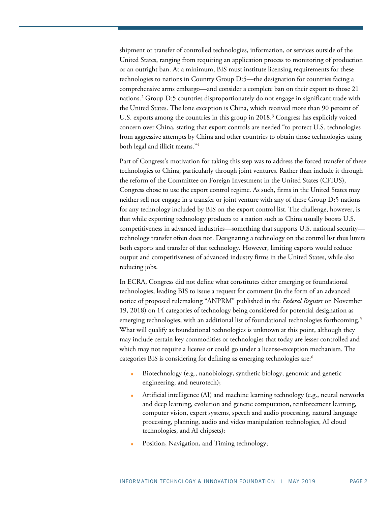shipment or transfer of controlled technologies, information, or services outside of the United States, ranging from requiring an application process to monitoring of production or an outright ban. At a minimum, BIS must institute licensing requirements for these technologies to nations in Country Group D:5—the designation for countries facing a comprehensive arms embargo—and consider a complete ban on their export to those 21 nations.[2](#page-19-1) Group D:5 countries disproportionately do not engage in significant trade with the United States. The lone exception is China, which received more than 90 percent of U.S. exports among the countries in this group in  $2018<sup>3</sup>$  $2018<sup>3</sup>$  $2018<sup>3</sup>$  Congress has explicitly voiced concern over China, stating that export controls are needed "to protect U.S. technologies from aggressive attempts by China and other countries to obtain those technologies using both legal and illicit means."[4](#page-19-3)

Part of Congress's motivation for taking this step was to address the forced transfer of these technologies to China, particularly through joint ventures. Rather than include it through the reform of the Committee on Foreign Investment in the United States (CFIUS), Congress chose to use the export control regime. As such, firms in the United States may neither sell nor engage in a transfer or joint venture with any of these Group D:5 nations for any technology included by BIS on the export control list. The challenge, however, is that while exporting technology products to a nation such as China usually boosts U.S. competitiveness in advanced industries—something that supports U.S. national security technology transfer often does not. Designating a technology on the control list thus limits both exports and transfer of that technology. However, limiting exports would reduce output and competitiveness of advanced industry firms in the United States, while also reducing jobs.

In ECRA, Congress did not define what constitutes either emerging or foundational technologies, leading BIS to issue a request for comment (in the form of an advanced notice of proposed rulemaking "ANPRM" published in the *Federal Register* on November 19, 2018) on 14 categories of technology being considered for potential designation as emerging technologies, with an additional list of foundational technologies forthcoming.<sup>[5](#page-19-4)</sup> What will qualify as foundational technologies is unknown at this point, although they may include certain key commodities or technologies that today are lesser controlled and which may not require a license or could go under a license-exception mechanism. The categories BIS is considering for defining as emerging technologies are:<sup>6</sup>

- Biotechnology (e.g., nanobiology, synthetic biology, genomic and genetic engineering, and neurotech);
- Artificial intelligence (AI) and machine learning technology (e.g., neural networks and deep learning, evolution and genetic computation, reinforcement learning, computer vision, expert systems, speech and audio processing, natural language processing, planning, audio and video manipulation technologies, AI cloud technologies, and AI chipsets);
- Position, Navigation, and Timing technology;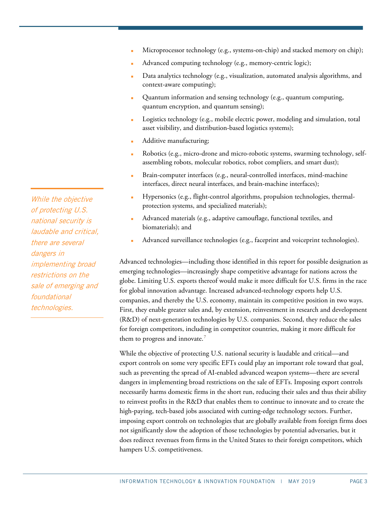- Microprocessor technology (e.g., systems-on-chip) and stacked memory on chip);
- Advanced computing technology (e.g., memory-centric logic);
- Data analytics technology (e.g., visualization, automated analysis algorithms, and context-aware computing);
- Quantum information and sensing technology (e.g., quantum computing, quantum encryption, and quantum sensing);
- Logistics technology (e.g., mobile electric power, modeling and simulation, total asset visibility, and distribution-based logistics systems);
- Additive manufacturing;
- Robotics (e.g., micro-drone and micro-robotic systems, swarming technology, selfassembling robots, molecular robotics, robot compliers, and smart dust);
- Brain-computer interfaces (e.g., neural-controlled interfaces, mind-machine interfaces, direct neural interfaces, and brain-machine interfaces);
- Hypersonics (e.g., flight-control algorithms, propulsion technologies, thermalprotection systems, and specialized materials);
- Advanced materials (e.g., adaptive camouflage, functional textiles, and biomaterials); and
- Advanced surveillance technologies (e.g., faceprint and voiceprint technologies).

Advanced technologies—including those identified in this report for possible designation as emerging technologies—increasingly shape competitive advantage for nations across the globe. Limiting U.S. exports thereof would make it more difficult for U.S. firms in the race for global innovation advantage. Increased advanced-technology exports help U.S. companies, and thereby the U.S. economy, maintain its competitive position in two ways. First, they enable greater sales and, by extension, reinvestment in research and development (R&D) of next-generation technologies by U.S. companies. Second, they reduce the sales for foreign competitors, including in competitor countries, making it more difficult for them to progress and innovate.<sup>[7](#page-19-6)</sup>

While the objective of protecting U.S. national security is laudable and critical—and export controls on some very specific EFTs could play an important role toward that goal, such as preventing the spread of AI-enabled advanced weapon systems—there are several dangers in implementing broad restrictions on the sale of EFTs. Imposing export controls necessarily harms domestic firms in the short run, reducing their sales and thus their ability to reinvest profits in the R&D that enables them to continue to innovate and to create the high-paying, tech-based jobs associated with cutting-edge technology sectors. Further, imposing export controls on technologies that are globally available from foreign firms does not significantly slow the adoption of those technologies by potential adversaries, but it does redirect revenues from firms in the United States to their foreign competitors, which hampers U.S. competitiveness.

While the objective of protecting U.S. national security is laudable and critical, there are several dangers in implementing broad restrictions on the sale of emerging and foundational technologies.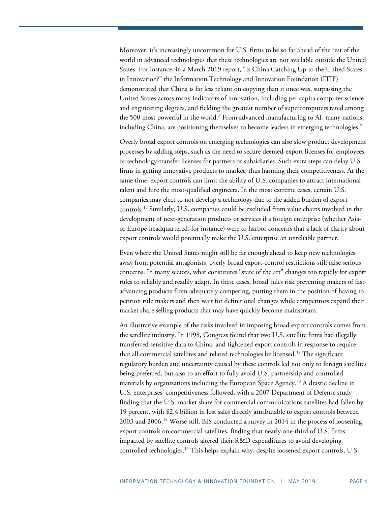Moreover, it's increasingly uncommon for U.S. firms to be so far ahead of the rest of the world in advanced technologies that these technologies are not available outside the United States. For instance, in a March 2019 report, "Is China Catching Up to the United States in Innovation?" the Information Technology and Innovation Foundation (ITIF) demonstrated that China is far less reliant on copying than it once was, surpassing the United States across many indicators of innovation, including per capita computer science and engineering degrees, and fielding the greatest number of supercomputers rated among the 500 most powerful in the world.<sup>[8](#page-19-7)</sup> From advanced manufacturing to AI, many nations, including China, are positioning themselves to become leaders in emerging technologies.<sup>[9](#page-19-8)</sup>

Overly broad export controls on emerging technologies can also slow product development processes by adding steps, such as the need to secure deemed-export licenses for employees or technology-transfer licenses for partners or subsidiaries. Such extra steps can delay U.S. firms in getting innovative products to market, thus harming their competitiveness. At the same time, export controls can limit the ability of U.S. companies to attract international talent and hire the most-qualified engineers. In the most extreme cases, certain U.S. companies may elect to not develop a technology due to the added burden of export controls.[10](#page-19-9) Similarly, U.S. companies could be excluded from value chains involved in the development of next-generation products or services if a foreign enterprise (whether Asiaor Europe-headquartered, for instance) were to harbor concerns that a lack of clarity about export controls would potentially make the U.S. enterprise an unreliable partner.

Even where the United States might still be far enough ahead to keep new technologies away from potential antagonists, overly broad export-control restrictions still raise serious concerns. In many sectors, what constitutes "state of the art" changes too rapidly for export rules to reliably and readily adapt. In these cases, broad rules risk preventing makers of fastadvancing products from adequately competing, putting them in the position of having to petition rule makers and then wait for definitional changes while competitors expand their market share selling products that may have quickly become mainstream.<sup>[11](#page-19-10)</sup>

An illustrative example of the risks involved in imposing broad export controls comes from the satellite industry. In 1998, Congress found that two U.S. satellite firms had illegally transferred sensitive data to China, and tightened export controls in response to require that all commercial satellites and related technologies be licensed.<sup>[12](#page-19-11)</sup> The significant regulatory burden and uncertainty caused by these controls led not only to foreign satellites being preferred, but also to an effort to fully avoid U.S. partnership and controlled materials by organizations including the European Space Agency.<sup>[13](#page-19-12)</sup> A drastic decline in U.S. enterprises' competitiveness followed, with a 2007 Department of Defense study finding that the U.S. market share for commercial communications satellites had fallen by 19 percent, with \$2.4 billion in lost sales directly attributable to export controls between 2003 and 2006.[14](#page-19-13) Worse still, BIS conducted a survey in 2014 in the process of loosening export controls on commercial satellites, finding that nearly one-third of U.S. firms impacted by satellite controls altered their R&D expenditures to avoid developing controlled technologies.[15](#page-19-14) This helps explain why, despite loosened export controls, U.S.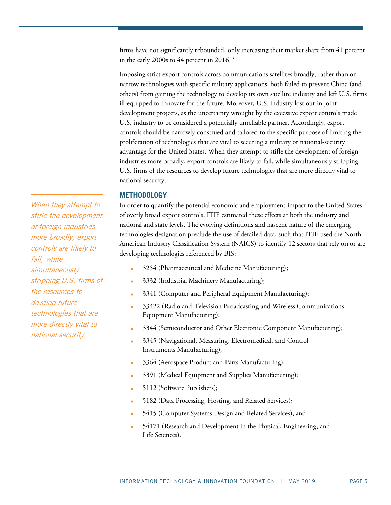firms have not significantly rebounded, only increasing their market share from 41 percent in the early 2000s to 44 percent in 20[16](#page-19-15).<sup>16</sup>

Imposing strict export controls across communications satellites broadly, rather than on narrow technologies with specific military applications, both failed to prevent China (and others) from gaining the technology to develop its own satellite industry and left U.S. firms ill-equipped to innovate for the future. Moreover, U.S. industry lost out in joint development projects, as the uncertainty wrought by the excessive export controls made U.S. industry to be considered a potentially unreliable partner. Accordingly, export controls should be narrowly construed and tailored to the specific purpose of limiting the proliferation of technologies that are vital to securing a military or national-security advantage for the United States. When they attempt to stifle the development of foreign industries more broadly, export controls are likely to fail, while simultaneously stripping U.S. firms of the resources to develop future technologies that are more directly vital to national security.

#### **METHODOLOGY**

In order to quantify the potential economic and employment impact to the United States of overly broad export controls, ITIF estimated these effects at both the industry and national and state levels. The evolving definitions and nascent nature of the emerging technologies designation preclude the use of detailed data, such that ITIF used the North American Industry Classification System (NAICS) to identify 12 sectors that rely on or are developing technologies referenced by BIS:

- 3254 (Pharmaceutical and Medicine Manufacturing);
- 3332 (Industrial Machinery Manufacturing);
- 3341 (Computer and Peripheral Equipment Manufacturing);
- 33422 (Radio and Television Broadcasting and Wireless Communications Equipment Manufacturing);
- 3344 (Semiconductor and Other Electronic Component Manufacturing);
- 3345 (Navigational, Measuring, Electromedical, and Control Instruments Manufacturing);
- 3364 (Aerospace Product and Parts Manufacturing);
- 3391 (Medical Equipment and Supplies Manufacturing);
- 5112 (Software Publishers);
- 5182 (Data Processing, Hosting, and Related Services);
- 5415 (Computer Systems Design and Related Services); and
- 54171 (Research and Development in the Physical, Engineering, and Life Sciences).

When they attempt to stifle the development of foreign industries more broadly, export controls are likely to fail, while simultaneously stripping U.S. firms of the resources to develop future technologies that are more directly vital to national security.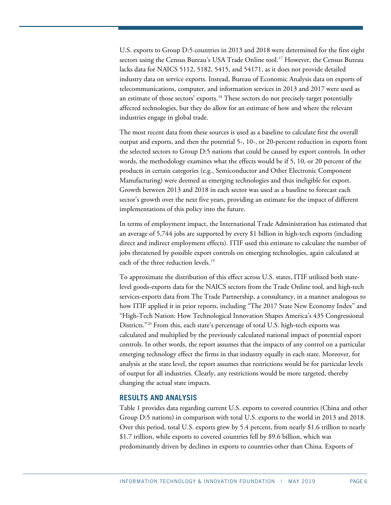U.S. exports to Group D:5 countries in 2013 and 2018 were determined for the first eight sectors using the Census Bureau's USA Trade Online tool.<sup>[17](#page-20-0)</sup> However, the Census Bureau lacks data for NAICS 5112, 5182, 5415, and 54171, as it does not provide detailed industry data on service exports. Instead, Bureau of Economic Analysis data on exports of telecommunications, computer, and information services in 2013 and 2017 were used as an estimate of those sectors' exports.<sup>[18](#page-20-1)</sup> These sectors do not precisely target potentially affected technologies, but they do allow for an estimate of how and where the relevant industries engage in global trade.

The most recent data from these sources is used as a baseline to calculate first the overall output and exports, and then the potential 5-, 10-, or 20-percent reduction in exports from the selected sectors to Group D:5 nations that could be caused by export controls. In other words, the methodology examines what the effects would be if 5, 10, or 20 percent of the products in certain categories (e.g., Semiconductor and Other Electronic Component Manufacturing) were deemed as emerging technologies and thus ineligible for export. Growth between 2013 and 2018 in each sector was used as a baseline to forecast each sector's growth over the next five years, providing an estimate for the impact of different implementations of this policy into the future.

In terms of employment impact, the International Trade Administration has estimated that an average of 5,744 jobs are supported by every \$1 billion in high-tech exports (including direct and indirect employment effects). ITIF used this estimate to calculate the number of jobs threatened by possible export controls on emerging technologies, again calculated at each of the three reduction levels.<sup>[19](#page-20-2)</sup>

To approximate the distribution of this effect across U.S. states, ITIF utilized both statelevel goods-exports data for the NAICS sectors from the Trade Online tool, and high-tech services-exports data from The Trade Partnership, a consultancy, in a manner analogous to how ITIF applied it in prior reports, including "The 2017 State New Economy Index" and "High-Tech Nation: How Technological Innovation Shapes America's 435 Congressional Districts."<sup>[20](#page-20-3)</sup> From this, each state's percentage of total U.S. high-tech exports was calculated and multiplied by the previously calculated national impact of potential export controls. In other words, the report assumes that the impacts of any control on a particular emerging technology effect the firms in that industry equally in each state. Moreover, for analysis at the state level, the report assumes that restrictions would be for particular levels of output for all industries. Clearly, any restrictions would be more targeted, thereby changing the actual state impacts.

#### **RESULTS AND ANALYSIS**

[Table 1](#page-6-0) provides data regarding current U.S. exports to covered countries (China and other Group D:5 nations) in comparison with total U.S. exports to the world in 2013 and 2018. Over this period, total U.S. exports grew by 5.4 percent, from nearly \$1.6 trillion to nearly \$1.7 trillion, while exports to covered countries fell by \$9.6 billion, which was predominantly driven by declines in exports to countries other than China. Exports of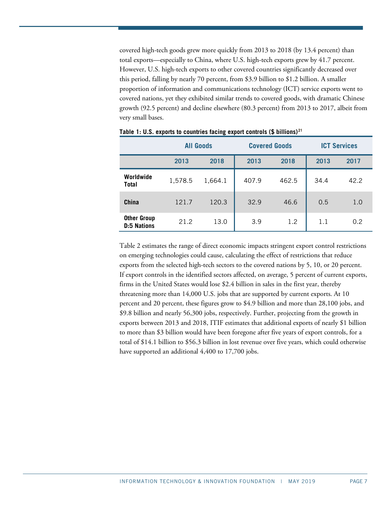covered high-tech goods grew more quickly from 2013 to 2018 (by 13.4 percent) than total exports—especially to China, where U.S. high-tech exports grew by 41.7 percent. However, U.S. high-tech exports to other covered countries significantly decreased over this period, falling by nearly 70 percent, from \$3.9 billion to \$1.2 billion. A smaller proportion of information and communications technology (ICT) service exports went to covered nations, yet they exhibited similar trends to covered goods, with dramatic Chinese growth (92.5 percent) and decline elsewhere (80.3 percent) from 2013 to 2017, albeit from very small bases.

|                                          | <b>All Goods</b> |         |       | <b>Covered Goods</b> | <b>ICT Services</b> |      |  |
|------------------------------------------|------------------|---------|-------|----------------------|---------------------|------|--|
|                                          | 2013             | 2018    | 2013  | 2018                 | 2013                | 2017 |  |
| Worldwide<br>Total                       | 1,578.5          | 1,664.1 | 407.9 | 462.5                | 34.4                | 42.2 |  |
| China                                    | 121.7            | 120.3   | 32.9  | 46.6                 | 0.5                 | 1.0  |  |
| <b>Other Group</b><br><b>D:5 Nations</b> | 21.2             | 13.0    | 3.9   | 1.2                  | 1.1                 | 0.2  |  |

<span id="page-6-0"></span>

|  |  | Table 1: U.S. exports to countries facing export controls (\$ billions) $^{21}$ |  |  |  |
|--|--|---------------------------------------------------------------------------------|--|--|--|
|--|--|---------------------------------------------------------------------------------|--|--|--|

<span id="page-6-1"></span>[Table 2](#page-6-1) estimates the range of direct economic impacts stringent export control restrictions on emerging technologies could cause, calculating the effect of restrictions that reduce exports from the selected high-tech sectors to the covered nations by 5, 10, or 20 percent. If export controls in the identified sectors affected, on average, 5 percent of current exports, firms in the United States would lose \$2.4 billion in sales in the first year, thereby threatening more than 14,000 U.S. jobs that are supported by current exports. At 10 percent and 20 percent, these figures grow to \$4.9 billion and more than 28,100 jobs, and \$9.8 billion and nearly 56,300 jobs, respectively. Further, projecting from the growth in exports between 2013 and 2018, ITIF estimates that additional exports of nearly \$1 billion to more than \$3 billion would have been foregone after five years of export controls, for a total of \$14.1 billion to \$56.3 billion in lost revenue over five years, which could otherwise have supported an additional 4,400 to 17,700 jobs.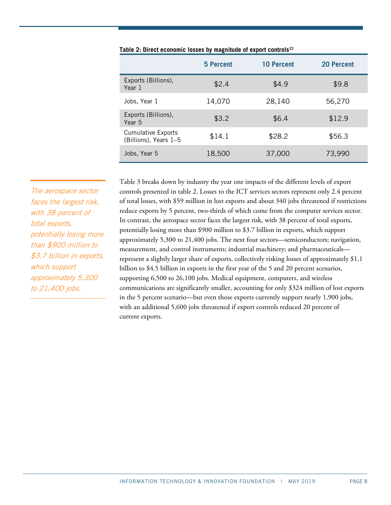|                                                    | 5 Percent | <b>10 Percent</b> | <b>20 Percent</b> |
|----------------------------------------------------|-----------|-------------------|-------------------|
| Exports (Billions),<br>Year 1                      | \$2.4     | \$4.9             | \$9.8             |
| Jobs, Year 1                                       | 14,070    | 28,140            | 56,270            |
| Exports (Billions),<br>Year 5                      | \$3.2     | \$6.4             | \$12.9            |
| <b>Cumulative Exports</b><br>(Billions), Years 1-5 | \$14.1    | \$28.2            | \$56.3            |
| Jobs, Year 5                                       | 18,500    | 37,000            | 73,990            |

| Table 2: Direct economic losses by magnitude of export controls <sup>22</sup> |  |  |  |  |
|-------------------------------------------------------------------------------|--|--|--|--|
|                                                                               |  |  |  |  |

The aerospace sector faces the largest risk, with 38 percent of total exports, potentially losing more than \$900 million to \$3.7 billion in exports, which support approximately 5,300 to 21,400 jobs.

<span id="page-7-0"></span>[Table 3](#page-7-0) breaks down by industry the year one impacts of the different levels of export controls presented in table 2. Losses to the ICT services sectors represent only 2.4 percent of total losses, with \$59 million in lost exports and about 340 jobs threatened if restrictions reduce exports by 5 percent, two-thirds of which come from the computer services sector. In contrast, the aerospace sector faces the largest risk, with 38 percent of total exports, potentially losing more than \$900 million to \$3.7 billion in exports, which support approximately 5,300 to 21,400 jobs. The next four sectors—semiconductors; navigation, measurement, and control instruments; industrial machinery; and pharmaceuticals represent a slightly larger share of exports, collectively risking losses of approximately \$1.1 billion to \$4.5 billion in exports in the first year of the 5 and 20 percent scenarios, supporting 6,500 to 26,100 jobs. Medical equipment, computers, and wireless communications are significantly smaller, accounting for only \$324 million of lost exports in the 5 percent scenario—but even those exports currently support nearly 1,900 jobs, with an additional 5,600 jobs threatened if export controls reduced 20 percent of current exports.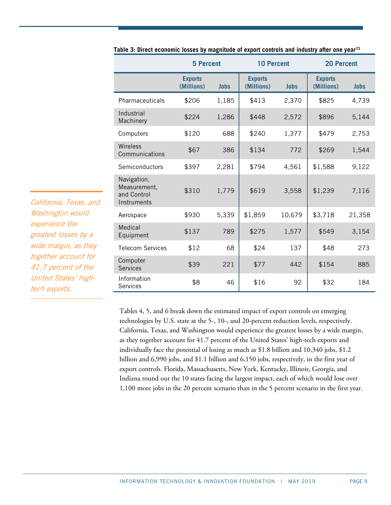|                                                           | <b>5 Percent</b>             |             | <b>10 Percent</b>            |             | <b>20 Percent</b>            |             |
|-----------------------------------------------------------|------------------------------|-------------|------------------------------|-------------|------------------------------|-------------|
|                                                           | <b>Exports</b><br>(Millions) | <b>Jobs</b> | <b>Exports</b><br>(Millions) | <b>Jobs</b> | <b>Exports</b><br>(Millions) | <b>Jobs</b> |
| Pharmaceuticals                                           | \$206                        | 1,185       | \$413                        | 2,370       | \$825                        | 4,739       |
| Industrial<br>Machinery                                   | \$224                        | 1,286       | \$448                        | 2,572       | \$896                        | 5,144       |
| Computers                                                 | \$120                        | 688         | \$240                        | 1,377       | \$479                        | 2,753       |
| Wireless<br>Communications                                | \$67                         | 386         | \$134                        | 772         | \$269                        | 1,544       |
| Semiconductors                                            | \$397                        | 2,281       | \$794                        | 4,561       | \$1,588                      | 9,122       |
| Navigation,<br>Measurement,<br>and Control<br>Instruments | \$310                        | 1,779       | \$619                        | 3,558       | \$1,239                      | 7,116       |
| Aerospace                                                 | \$930                        | 5,339       | \$1,859                      | 10,679      | \$3,718                      | 21,358      |
| Medical<br>Equipment                                      | \$137                        | 789         | \$275                        | 1,577       | \$549                        | 3,154       |
| <b>Telecom Services</b>                                   | \$12                         | 68          | \$24                         | 137         | \$48                         | 273         |
| Computer<br><b>Services</b>                               | \$39                         | 221         | \$77                         | 442         | \$154                        | 885         |
| Information<br><b>Services</b>                            | \$8                          | 46          | \$16                         | 92          | \$32                         | 184         |

**Table 3: Direct economic losses by magnitude of export controls and industry after one year[23](#page-20-6)**

Tables 4, 5, and 6 break down the estimated impact of export controls on emerging technologies by U.S. state at the 5-, 10-, and 20-percent reduction levels, respectively. California, Texas, and Washington would experience the greatest losses by a wide margin, as they together account for 41.7 percent of the United States' high-tech exports and individually face the potential of losing as much as \$1.8 billion and 10,340 jobs, \$1.2 billion and 6,990 jobs, and \$1.1 billion and 6,150 jobs, respectively, in the first year of export controls. Florida, Massachusetts, New York, Kentucky, Illinois, Georgia, and Indiana round out the 10 states facing the largest impact, each of which would lose over 1,100 more jobs in the 20 percent scenario than in the 5 percent scenario in the first year.

California, Texas, and Washington would experience the greatest losses by a wide margin, as they together account for 41.7 percent of the United States' hightech exports.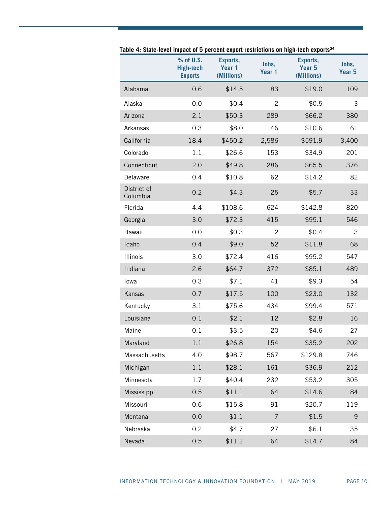|                         | % of U.S.<br><b>High-tech</b><br><b>Exports</b> | Exports,<br>Year 1<br>(Millions) | Jobs,<br>Year 1 | Exports,<br>Year 5<br>(Millions) | Jobs,<br>Year <sub>5</sub> |
|-------------------------|-------------------------------------------------|----------------------------------|-----------------|----------------------------------|----------------------------|
| Alabama                 | 0.6                                             | \$14.5                           | 83              | \$19.0                           | 109                        |
| Alaska                  | 0.0                                             | \$0.4                            | $\mathbf{2}$    | \$0.5                            | 3                          |
| Arizona                 | 2.1                                             | \$50.3                           | 289             | \$66.2                           | 380                        |
| Arkansas                | 0.3                                             | \$8.0                            | 46              | \$10.6                           | 61                         |
| California              | 18.4                                            | \$450.2                          | 2,586           | \$591.9                          | 3,400                      |
| Colorado                | 1.1                                             | \$26.6                           | 153             | \$34.9                           | 201                        |
| Connecticut             | 2.0                                             | \$49.8                           | 286             | \$65.5                           | 376                        |
| Delaware                | 0.4                                             | \$10.8                           | 62              | \$14.2                           | 82                         |
| District of<br>Columbia | 0.2                                             | \$4.3                            | 25              | \$5.7                            | 33                         |
| Florida                 | 4.4                                             | \$108.6                          | 624             | \$142.8                          | 820                        |
| Georgia                 | 3.0                                             | \$72.3                           | 415             | \$95.1                           | 546                        |
| Hawaii                  | 0.0                                             | \$0.3                            | $\overline{c}$  | \$0.4                            | 3                          |
| Idaho                   | 0.4                                             | \$9.0                            | 52              | \$11.8                           | 68                         |
| <b>Illinois</b>         | 3.0                                             | \$72.4                           | 416             | \$95.2                           | 547                        |
| Indiana                 | 2.6                                             | \$64.7                           | 372             | \$85.1                           | 489                        |
| lowa                    | 0.3                                             | \$7.1                            | 41              | \$9.3                            | 54                         |
| Kansas                  | 0.7                                             | \$17.5                           | 100             | \$23.0                           | 132                        |
| Kentucky                | 3.1                                             | \$75.6                           | 434             | \$99.4                           | 571                        |
| Louisiana               | 0.1                                             | \$2.1                            | 12              | \$2.8                            | 16                         |
| Maine                   | 0.1                                             | \$3.5                            | 20              | \$4.6                            | 27                         |
| Maryland                | 1.1                                             | \$26.8                           | 154             | \$35.2                           | 202                        |
| Massachusetts           | 4.0                                             | \$98.7                           | 567             | \$129.8                          | 746                        |
| Michigan                | 1.1                                             | \$28.1                           | 161             | \$36.9                           | 212                        |
| Minnesota               | 1.7                                             | \$40.4                           | 232             | \$53.2                           | 305                        |
| Mississippi             | 0.5                                             | \$11.1                           | 64              | \$14.6                           | 84                         |
| Missouri                | 0.6                                             | \$15.8                           | 91              | \$20.7                           | 119                        |
| Montana                 | 0.0                                             | \$1.1                            | $\overline{7}$  | \$1.5                            | 9                          |
| Nebraska                | 0.2                                             | \$4.7                            | 27              | \$6.1                            | 35                         |
| Nevada                  | 0.5                                             | \$11.2                           | 64              | \$14.7                           | 84                         |

**Table 4: State-level impact of 5 percent export restrictions on high-tech exports[24](#page-20-7)**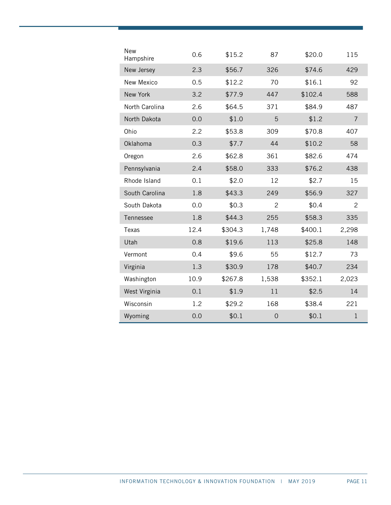| <b>New</b><br>Hampshire | 0.6  | \$15.2  | 87             | \$20.0  | 115            |
|-------------------------|------|---------|----------------|---------|----------------|
| New Jersey              | 2.3  | \$56.7  | 326            | \$74.6  | 429            |
| New Mexico              | 0.5  | \$12.2  | 70             | \$16.1  | 92             |
| New York                | 3.2  | \$77.9  | 447            | \$102.4 | 588            |
| North Carolina          | 2.6  | \$64.5  | 371            | \$84.9  | 487            |
| North Dakota            | 0.0  | \$1.0   | 5              | \$1.2   | $\overline{7}$ |
| Ohio                    | 2.2  | \$53.8  | 309            | \$70.8  | 407            |
| Oklahoma                | 0.3  | \$7.7   | 44             | \$10.2  | 58             |
| Oregon                  | 2.6  | \$62.8  | 361            | \$82.6  | 474            |
| Pennsylvania            | 2.4  | \$58.0  | 333            | \$76.2  | 438            |
| Rhode Island            | 0.1  | \$2.0   | 12             | \$2.7   | 15             |
| South Carolina          | 1.8  | \$43.3  | 249            | \$56.9  | 327            |
| South Dakota            | 0.0  | \$0.3   | $\overline{2}$ | \$0.4   | $\overline{c}$ |
| Tennessee               | 1.8  | \$44.3  | 255            | \$58.3  | 335            |
| Texas                   | 12.4 | \$304.3 | 1,748          | \$400.1 | 2,298          |
| Utah                    | 0.8  | \$19.6  | 113            | \$25.8  | 148            |
| Vermont                 | 0.4  | \$9.6   | 55             | \$12.7  | 73             |
| Virginia                | 1.3  | \$30.9  | 178            | \$40.7  | 234            |
| Washington              | 10.9 | \$267.8 | 1,538          | \$352.1 | 2,023          |
| West Virginia           | 0.1  | \$1.9   | 11             | \$2.5   | 14             |
| Wisconsin               | 1.2  | \$29.2  | 168            | \$38.4  | 221            |
| Wyoming                 | 0.0  | \$0.1   | $\overline{0}$ | \$0.1   | $\mathbf{1}$   |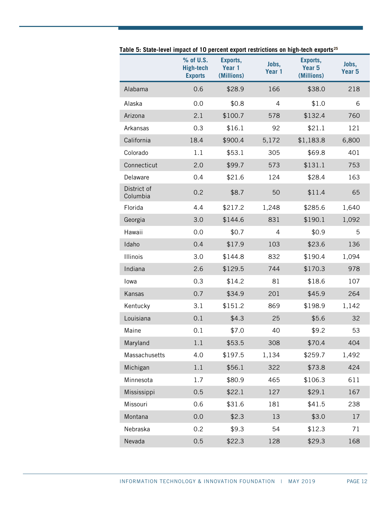|                         | % of U.S.<br><b>High-tech</b><br><b>Exports</b> | Exports,<br>Year 1<br>(Millions) | Jobs,<br>Year 1 | Exports,<br>Year <sub>5</sub><br>(Millions) | Jobs,<br>Year <sub>5</sub> |
|-------------------------|-------------------------------------------------|----------------------------------|-----------------|---------------------------------------------|----------------------------|
| Alabama                 | 0.6                                             | \$28.9                           | 166             | \$38.0                                      | 218                        |
| Alaska                  | 0.0                                             | \$0.8                            | 4               | \$1.0                                       | 6                          |
| Arizona                 | 2.1                                             | \$100.7                          | 578             | \$132.4                                     | 760                        |
| Arkansas                | 0.3                                             | \$16.1                           | 92              | \$21.1                                      | 121                        |
| California              | 18.4                                            | \$900.4                          | 5,172           | \$1,183.8                                   | 6,800                      |
| Colorado                | 1.1                                             | \$53.1                           | 305             | \$69.8                                      | 401                        |
| Connecticut             | 2.0                                             | \$99.7                           | 573             | \$131.1                                     | 753                        |
| Delaware                | 0.4                                             | \$21.6                           | 124             | \$28.4                                      | 163                        |
| District of<br>Columbia | 0.2                                             | \$8.7                            | 50              | \$11.4                                      | 65                         |
| Florida                 | 4.4                                             | \$217.2                          | 1,248           | \$285.6                                     | 1,640                      |
| Georgia                 | 3.0                                             | \$144.6                          | 831             | \$190.1                                     | 1,092                      |
| Hawaii                  | 0.0                                             | \$0.7                            | 4               | \$0.9                                       | 5                          |
| Idaho                   | 0.4                                             | \$17.9                           | 103             | \$23.6                                      | 136                        |
| Illinois                | 3.0                                             | \$144.8                          | 832             | \$190.4                                     | 1,094                      |
| Indiana                 | 2.6                                             | \$129.5                          | 744             | \$170.3                                     | 978                        |
| lowa                    | 0.3                                             | \$14.2                           | 81              | \$18.6                                      | 107                        |
| Kansas                  | 0.7                                             | \$34.9                           | 201             | \$45.9                                      | 264                        |
| Kentucky                | 3.1                                             | \$151.2                          | 869             | \$198.9                                     | 1,142                      |
| Louisiana               | 0.1                                             | \$4.3                            | 25              | \$5.6                                       | 32                         |
| Maine                   | 0.1                                             | \$7.0                            | 40              | \$9.2                                       | 53                         |
| Maryland                | 1.1                                             | \$53.5                           | 308             | \$70.4                                      | 404                        |
| Massachusetts           | 4.0                                             | \$197.5                          | 1,134           | \$259.7                                     | 1,492                      |
| Michigan                | 1.1                                             | \$56.1                           | 322             | \$73.8                                      | 424                        |
| Minnesota               | 1.7                                             | \$80.9                           | 465             | \$106.3                                     | 611                        |
| Mississippi             | 0.5                                             | \$22.1                           | 127             | \$29.1                                      | 167                        |
| Missouri                | 0.6                                             | \$31.6                           | 181             | \$41.5                                      | 238                        |
| Montana                 | 0.0                                             | \$2.3                            | 13              | \$3.0                                       | 17                         |
| Nebraska                | 0.2                                             | \$9.3                            | 54              | \$12.3                                      | 71                         |
| Nevada                  | 0.5                                             | \$22.3                           | 128             | \$29.3                                      | 168                        |

**Table 5: State-level impact of 10 percent export restrictions on high-tech exports[25](#page-20-8)**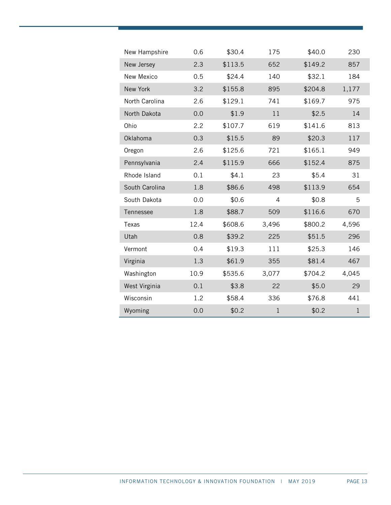| New Hampshire     | 0.6  | \$30.4  | 175          | \$40.0  | 230          |
|-------------------|------|---------|--------------|---------|--------------|
| New Jersey        | 2.3  | \$113.5 | 652          | \$149.2 | 857          |
| <b>New Mexico</b> | 0.5  | \$24.4  | 140          | \$32.1  | 184          |
| New York          | 3.2  | \$155.8 | 895          | \$204.8 | 1,177        |
| North Carolina    | 2.6  | \$129.1 | 741          | \$169.7 | 975          |
| North Dakota      | 0.0  | \$1.9   | 11           | \$2.5   | 14           |
| Ohio              | 2.2  | \$107.7 | 619          | \$141.6 | 813          |
| Oklahoma          | 0.3  | \$15.5  | 89           | \$20.3  | 117          |
| Oregon            | 2.6  | \$125.6 | 721          | \$165.1 | 949          |
| Pennsylvania      | 2.4  | \$115.9 | 666          | \$152.4 | 875          |
| Rhode Island      | 0.1  | \$4.1   | 23           | \$5.4   | 31           |
| South Carolina    | 1.8  | \$86.6  | 498          | \$113.9 | 654          |
| South Dakota      | 0.0  | \$0.6   | 4            | \$0.8   | 5            |
| Tennessee         | 1.8  | \$88.7  | 509          | \$116.6 | 670          |
| Texas             | 12.4 | \$608.6 | 3,496        | \$800.2 | 4,596        |
| Utah              | 0.8  | \$39.2  | 225          | \$51.5  | 296          |
| Vermont           | 0.4  | \$19.3  | 111          | \$25.3  | 146          |
| Virginia          | 1.3  | \$61.9  | 355          | \$81.4  | 467          |
| Washington        | 10.9 | \$535.6 | 3,077        | \$704.2 | 4,045        |
| West Virginia     | 0.1  | \$3.8   | 22           | \$5.0   | 29           |
| Wisconsin         | 1.2  | \$58.4  | 336          | \$76.8  | 441          |
| Wyoming           | 0.0  | \$0.2   | $\mathbf{1}$ | \$0.2   | $\mathbf{1}$ |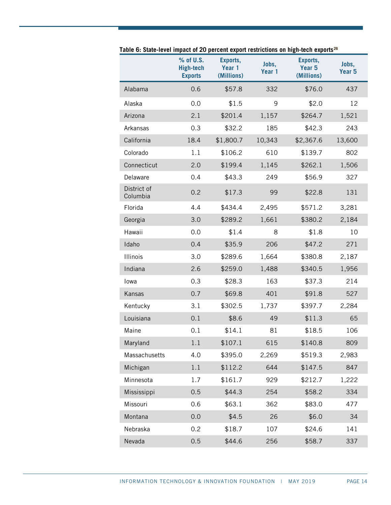|                         | % of U.S.<br><b>High-tech</b><br><b>Exports</b> | Exports,<br>Year 1<br>(Millions) | Jobs,<br>Year 1 | Exports,<br>Year 5<br>(Millions) | Jobs,<br>Year <sub>5</sub> |
|-------------------------|-------------------------------------------------|----------------------------------|-----------------|----------------------------------|----------------------------|
| Alabama                 | 0.6                                             | \$57.8                           | 332             | \$76.0                           | 437                        |
| Alaska                  | 0.0                                             | \$1.5                            | 9               | \$2.0                            | 12                         |
| Arizona                 | 2.1                                             | \$201.4                          | 1,157           | \$264.7                          | 1,521                      |
| Arkansas                | 0.3                                             | \$32.2                           | 185             | \$42.3                           | 243                        |
| California              | 18.4                                            | \$1,800.7                        | 10,343          | \$2,367.6                        | 13,600                     |
| Colorado                | 1.1                                             | \$106.2                          | 610             | \$139.7                          | 802                        |
| Connecticut             | 2.0                                             | \$199.4                          | 1,145           | \$262.1                          | 1,506                      |
| Delaware                | 0.4                                             | \$43.3                           | 249             | \$56.9                           | 327                        |
| District of<br>Columbia | 0.2                                             | \$17.3                           | 99              | \$22.8                           | 131                        |
| Florida                 | 4.4                                             | \$434.4                          | 2,495           | \$571.2                          | 3,281                      |
| Georgia                 | 3.0                                             | \$289.2                          | 1,661           | \$380.2                          | 2,184                      |
| Hawaii                  | 0.0                                             | \$1.4                            | 8               | \$1.8                            | 10                         |
| Idaho                   | 0.4                                             | \$35.9                           | 206             | \$47.2                           | 271                        |
| Illinois                | 3.0                                             | \$289.6                          | 1,664           | \$380.8                          | 2,187                      |
| Indiana                 | 2.6                                             | \$259.0                          | 1,488           | \$340.5                          | 1,956                      |
| Iowa                    | 0.3                                             | \$28.3                           | 163             | \$37.3                           | 214                        |
| Kansas                  | 0.7                                             | \$69.8                           | 401             | \$91.8                           | 527                        |
| Kentucky                | 3.1                                             | \$302.5                          | 1,737           | \$397.7                          | 2,284                      |
| Louisiana               | 0.1                                             | \$8.6                            | 49              | \$11.3                           | 65                         |
| Maine                   | 0.1                                             | \$14.1                           | 81              | \$18.5                           | 106                        |
| Maryland                | $1.1\,$                                         | \$107.1                          | 615             | \$140.8                          | 809                        |
| Massachusetts           | 4.0                                             | \$395.0                          | 2,269           | \$519.3                          | 2,983                      |
| Michigan                | 1.1                                             | \$112.2                          | 644             | \$147.5                          | 847                        |
| Minnesota               | 1.7                                             | \$161.7                          | 929             | \$212.7                          | 1,222                      |
| Mississippi             | 0.5                                             | \$44.3                           | 254             | \$58.2                           | 334                        |
| Missouri                | 0.6                                             | \$63.1                           | 362             | \$83.0                           | 477                        |
| Montana                 | 0.0                                             | \$4.5                            | 26              | \$6.0                            | 34                         |
| Nebraska                | 0.2                                             | \$18.7                           | 107             | \$24.6                           | 141                        |
| Nevada                  | 0.5                                             | \$44.6                           | 256             | \$58.7                           | 337                        |

**Table 6: State-level impact of 20 percent export restrictions on high-tech exports[26](#page-20-9)**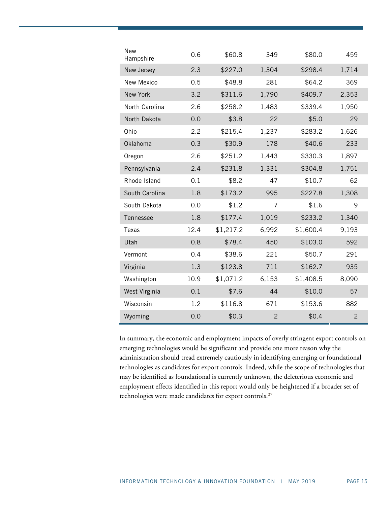| <b>New</b><br>Hampshire | 0.6  | \$60.8    | 349            | \$80.0    | 459            |
|-------------------------|------|-----------|----------------|-----------|----------------|
| New Jersey              | 2.3  | \$227.0   | 1,304          | \$298.4   | 1,714          |
| New Mexico              | 0.5  | \$48.8    | 281            | \$64.2    | 369            |
| New York                | 3.2  | \$311.6   | 1,790          | \$409.7   | 2,353          |
| North Carolina          | 2.6  | \$258.2   | 1,483          | \$339.4   | 1,950          |
| North Dakota            | 0.0  | \$3.8     | 22             | \$5.0     | 29             |
| Ohio                    | 2.2  | \$215.4   | 1,237          | \$283.2   | 1,626          |
| Oklahoma                | 0.3  | \$30.9    | 178            | \$40.6    | 233            |
| Oregon                  | 2.6  | \$251.2   | 1,443          | \$330.3   | 1,897          |
| Pennsylvania            | 2.4  | \$231.8   | 1,331          | \$304.8   | 1,751          |
| Rhode Island            | 0.1  | \$8.2     | 47             | \$10.7    | 62             |
| South Carolina          | 1.8  | \$173.2   | 995            | \$227.8   | 1,308          |
| South Dakota            | 0.0  | \$1.2     | 7              | \$1.6     | 9              |
| Tennessee               | 1.8  | \$177.4   | 1,019          | \$233.2   | 1,340          |
| Texas                   | 12.4 | \$1,217.2 | 6,992          | \$1,600.4 | 9,193          |
| Utah                    | 0.8  | \$78.4    | 450            | \$103.0   | 592            |
| Vermont                 | 0.4  | \$38.6    | 221            | \$50.7    | 291            |
| Virginia                | 1.3  | \$123.8   | 711            | \$162.7   | 935            |
| Washington              | 10.9 | \$1,071.2 | 6,153          | \$1,408.5 | 8,090          |
| West Virginia           | 0.1  | \$7.6     | 44             | \$10.0    | 57             |
| Wisconsin               | 1.2  | \$116.8   | 671            | \$153.6   | 882            |
| Wyoming                 | 0.0  | \$0.3     | $\overline{c}$ | \$0.4     | $\overline{2}$ |

In summary, the economic and employment impacts of overly stringent export controls on emerging technologies would be significant and provide one more reason why the administration should tread extremely cautiously in identifying emerging or foundational technologies as candidates for export controls. Indeed, while the scope of technologies that may be identified as foundational is currently unknown, the deleterious economic and employment effects identified in this report would only be heightened if a broader set of technologies were made candidates for export controls.<sup>[27](#page-20-10)</sup>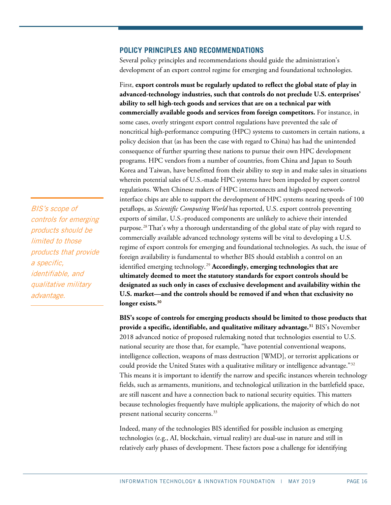#### **POLICY PRINCIPLES AND RECOMMENDATIONS**

Several policy principles and recommendations should guide the administration's development of an export control regime for emerging and foundational technologies.

First, **export controls must be regularly updated to reflect the global state of play in advanced-technology industries, such that controls do not preclude U.S. enterprises' ability to sell high-tech goods and services that are on a technical par with commercially available goods and services from foreign competitors.** For instance, in some cases, overly stringent export control regulations have prevented the sale of noncritical high-performance computing (HPC) systems to customers in certain nations, a policy decision that (as has been the case with regard to China) has had the unintended consequence of further spurring these nations to pursue their own HPC development programs. HPC vendors from a number of countries, from China and Japan to South Korea and Taiwan, have benefitted from their ability to step in and make sales in situations wherein potential sales of U.S.-made HPC systems have been impeded by export control regulations. When Chinese makers of HPC interconnects and high-speed networkinterface chips are able to support the development of HPC systems nearing speeds of 100 petaflops, as *Scientific Computing World* has reported, U.S. export controls preventing exports of similar, U.S.-produced components are unlikely to achieve their intended purpose.<sup>[28](#page-20-11)</sup> That's why a thorough understanding of the global state of play with regard to commercially available advanced technology systems will be vital to developing a U.S. regime of export controls for emerging and foundational technologies. As such, the issue of foreign availability is fundamental to whether BIS should establish a control on an identified emerging technology.<sup>[29](#page-20-12)</sup> **Accordingly, emerging technologies that are ultimately deemed to meet the statutory standards for export controls should be designated as such only in cases of exclusive development and availability within the U.S. market—and the controls should be removed if and when that exclusivity no longer exists.**[30](#page-20-13)

**BIS's scope of controls for emerging products should be limited to those products that provide a specific, identifiable, and qualitative military advantage.**[31](#page-20-14) BIS's November 2018 advanced notice of proposed rulemaking noted that technologies essential to U.S. national security are those that, for example, "have potential conventional weapons, intelligence collection, weapons of mass destruction [WMD], or terrorist applications or could provide the United States with a qualitative military or intelligence advantage."<sup>[32](#page-20-15)</sup> This means it is important to identify the narrow and specific instances wherein technology fields, such as armaments, munitions, and technological utilization in the battlefield space, are still nascent and have a connection back to national security equities. This matters because technologies frequently have multiple applications, the majority of which do not present national security concerns.<sup>[33](#page-21-0)</sup>

Indeed, many of the technologies BIS identified for possible inclusion as emerging technologies (e.g., AI, blockchain, virtual reality) are dual-use in nature and still in relatively early phases of development. These factors pose a challenge for identifying

BIS's scope of controls for emerging products should be limited to those products that provide a specific, identifiable, and qualitative military advantage.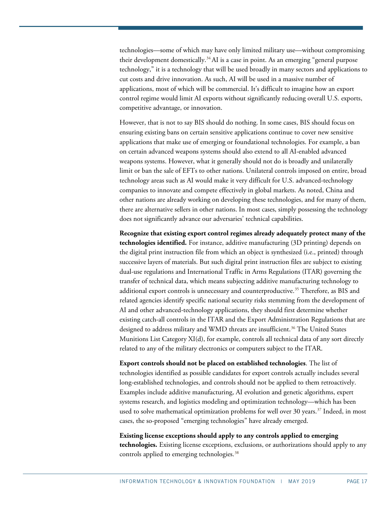technologies—some of which may have only limited military use—without compromising their development domestically.<sup>[34](#page-21-1)</sup>AI is a case in point. As an emerging "general purpose technology," it is a technology that will be used broadly in many sectors and applications to cut costs and drive innovation. As such, AI will be used in a massive number of applications, most of which will be commercial. It's difficult to imagine how an export control regime would limit AI exports without significantly reducing overall U.S. exports, competitive advantage, or innovation.

However, that is not to say BIS should do nothing. In some cases, BIS should focus on ensuring existing bans on certain sensitive applications continue to cover new sensitive applications that make use of emerging or foundational technologies. For example, a ban on certain advanced weapons systems should also extend to all AI-enabled advanced weapons systems. However, what it generally should not do is broadly and unilaterally limit or ban the sale of EFTs to other nations. Unilateral controls imposed on entire, broad technology areas such as AI would make it very difficult for U.S. advanced-technology companies to innovate and compete effectively in global markets. As noted, China and other nations are already working on developing these technologies, and for many of them, there are alternative sellers in other nations. In most cases, simply possessing the technology does not significantly advance our adversaries' technical capabilities.

**Recognize that existing export control regimes already adequately protect many of the technologies identified.** For instance, additive manufacturing (3D printing) depends on the digital print instruction file from which an object is synthesized (i.e., printed) through successive layers of materials. But such digital print instruction files are subject to existing dual-use regulations and International Traffic in Arms Regulations (ITAR) governing the transfer of technical data, which means subjecting additive manufacturing technology to additional export controls is unnecessary and counterproductive.<sup>[35](#page-21-2)</sup> Therefore, as BIS and related agencies identify specific national security risks stemming from the development of AI and other advanced-technology applications, they should first determine whether existing catch-all controls in the ITAR and the Export Administration Regulations that are designed to address military and WMD threats are insufficient.<sup>[36](#page-21-3)</sup> The United States Munitions List Category XI(d), for example, controls all technical data of any sort directly related to any of the military electronics or computers subject to the ITAR.

**Export controls should not be placed on established technologies**. The list of technologies identified as possible candidates for export controls actually includes several long-established technologies, and controls should not be applied to them retroactively. Examples include additive manufacturing, AI evolution and genetic algorithms, expert systems research, and logistics modeling and optimization technology—which has been used to solve mathematical optimization problems for well over 30 years. [37](#page-21-4) Indeed, in most cases, the so-proposed "emerging technologies" have already emerged.

**Existing license exceptions should apply to any controls applied to emerging technologies.** Existing license exceptions, exclusions, or authorizations should apply to any controls applied to emerging technologies.<sup>[38](#page-21-5)</sup>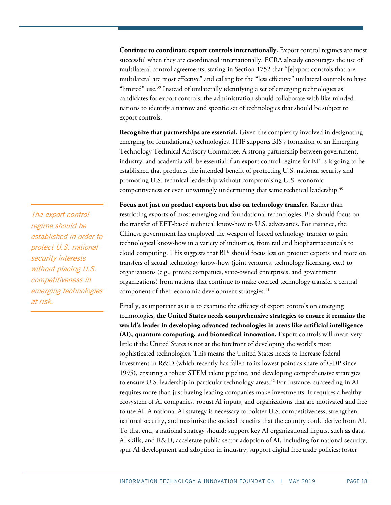**Continue to coordinate export controls internationally.** Export control regimes are most successful when they are coordinated internationally. ECRA already encourages the use of multilateral control agreements, stating in Section 1752 that "[e]xport controls that are multilateral are most effective" and calling for the "less effective" unilateral controls to have "limited" use.<sup>[39](#page-21-6)</sup> Instead of unilaterally identifying a set of emerging technologies as candidates for export controls, the administration should collaborate with like-minded nations to identify a narrow and specific set of technologies that should be subject to export controls.

**Recognize that partnerships are essential.** Given the complexity involved in designating emerging (or foundational) technologies, ITIF supports BIS's formation of an Emerging Technology Technical Advisory Committee. A strong partnership between government, industry, and academia will be essential if an export control regime for EFTs is going to be established that produces the intended benefit of protecting U.S. national security and promoting U.S. technical leadership without compromising U.S. economic competitiveness or even unwittingly undermining that same technical leadership.<sup>40</sup>

**Focus not just on product exports but also on technology transfer.** Rather than restricting exports of most emerging and foundational technologies, BIS should focus on the transfer of EFT-based technical know-how to U.S. adversaries. For instance, the Chinese government has employed the weapon of forced technology transfer to gain technological know-how in a variety of industries, from rail and biopharmaceuticals to cloud computing. This suggests that BIS should focus less on product exports and more on transfers of actual technology know-how (joint ventures, technology licensing, etc.) to organizations (e.g., private companies, state-owned enterprises, and government organizations) from nations that continue to make coerced technology transfer a central component of their economic development strategies.<sup>[41](#page-21-8)</sup>

Finally, as important as it is to examine the efficacy of export controls on emerging technologies, **the United States needs comprehensive strategies to ensure it remains the world's leader in developing advanced technologies in areas like artificial intelligence (AI), quantum computing, and biomedical innovation.** Export controls will mean very little if the United States is not at the forefront of developing the world's most sophisticated technologies. This means the United States needs to increase federal investment in R&D (which recently has fallen to its lowest point as share of GDP since 1995), ensuring a robust STEM talent pipeline, and developing comprehensive strategies to ensure U.S. leadership in particular technology areas.<sup>[42](#page-21-9)</sup> For instance, succeeding in AI requires more than just having leading companies make investments. It requires a healthy ecosystem of AI companies, robust AI inputs, and organizations that are motivated and free to use AI. A national AI strategy is necessary to bolster U.S. competitiveness, strengthen national security, and maximize the societal benefits that the country could derive from AI. To that end, a national strategy should: support key AI organizational inputs, such as data, AI skills, and R&D; accelerate public sector adoption of AI, including for national security; spur AI development and adoption in industry; support digital free trade policies; foster

The export control regime should be established in order to protect U.S. national security interests without placing U.S. competitiveness in emerging technologies at risk.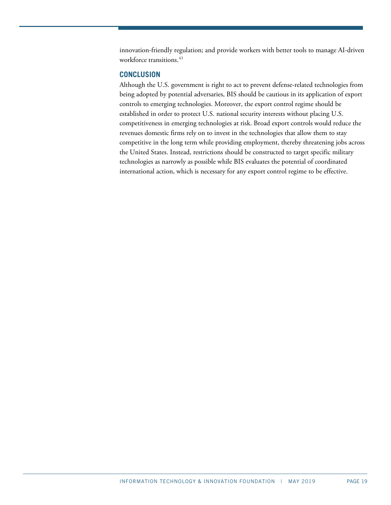innovation-friendly regulation; and provide workers with better tools to manage AI-driven workforce transitions.<sup>[43](#page-21-10)</sup>

#### **CONCLUSION**

Although the U.S. government is right to act to prevent defense-related technologies from being adopted by potential adversaries, BIS should be cautious in its application of export controls to emerging technologies. Moreover, the export control regime should be established in order to protect U.S. national security interests without placing U.S. competitiveness in emerging technologies at risk. Broad export controls would reduce the revenues domestic firms rely on to invest in the technologies that allow them to stay competitive in the long term while providing employment, thereby threatening jobs across the United States. Instead, restrictions should be constructed to target specific military technologies as narrowly as possible while BIS evaluates the potential of coordinated international action, which is necessary for any export control regime to be effective.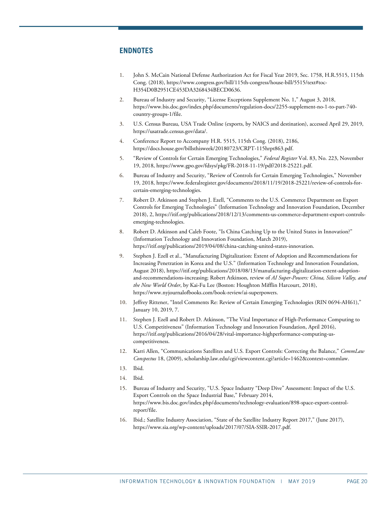#### **ENDNOTES**

- <span id="page-19-0"></span>1. John S. McCain National Defense Authorization Act for Fiscal Year 2019, Sec. 1758, H.R.5515, 115th Cong. (2018), https://www.congress.gov/bill/115th-congress/house-bill/5515/text#toc-H354D0B2951CE453DA3268434BECD0636.
- <span id="page-19-1"></span>2. Bureau of Industry and Security, "License Exceptions Supplement No. 1," August 3, 2018, https://www.bis.doc.gov/index.php/documents/regulation-docs/2255-supplement-no-1-to-part-740 country-groups-1/file.
- <span id="page-19-2"></span>3. U.S. Census Bureau, USA Trade Online (exports, by NAICS and destination), accessed April 29, 2019, https://usatrade.census.gov/data/.
- <span id="page-19-3"></span>4. Conference Report to Accompany H.R. 5515, 115th Cong. (2018), 2186, https://docs.house.gov/billsthisweek/20180723/CRPT-115hrpt863.pdf.
- <span id="page-19-4"></span>5. "Review of Controls for Certain Emerging Technologies," *Federal Register* Vol. 83, No. 223, November 19, 2018, [https://www.gpo.gov/fdsys/pkg/FR-2018-11-19/pdf/2018-25221.pdf.](https://www.gpo.gov/fdsys/pkg/FR-2018-11-19/pdf/2018-25221.pdf)
- <span id="page-19-5"></span>6. Bureau of Industry and Security, "Review of Controls for Certain Emerging Technologies," November 19, 2018, https://www.federalregister.gov/documents/2018/11/19/2018-25221/review-of-controls-forcertain-emerging-technologies.
- <span id="page-19-6"></span>7. Robert D. Atkinson and Stephen J. Ezell, "Comments to the U.S. Commerce Department on Export Controls for Emerging Technologies" (Information Technology and Innovation Foundation, December 2018), 2, https://itif.org/publications/2018/12/13/comments-us-commerce-department-export-controlsemerging-technologies.
- <span id="page-19-7"></span>8. Robert D. Atkinson and Caleb Foote, "Is China Catching Up to the United States in Innovation?" (Information Technology and Innovation Foundation, March 2019), https://itif.org/publications/2019/04/08/china-catching-united-states-innovation.
- <span id="page-19-8"></span>9. Stephen J. Ezell et al., "Manufacturing Digitalization: Extent of Adoption and Recommendations for Increasing Penetration in Korea and the U.S." (Information Technology and Innovation Foundation, August 2018), [https://itif.org/publications/2018/08/13/manufacturing-digitalization-extent-adoption](https://itif.org/publications/2018/08/13/manufacturing-digitalization-extent-adoption-and-recommendations-increasing)[and-recommendations-increasing;](https://itif.org/publications/2018/08/13/manufacturing-digitalization-extent-adoption-and-recommendations-increasing) Robert Atkinson, review of *AI Super-Powers: China, Silicon Valley, and the New World Order*, by Kai-Fu Lee (Boston: Houghton Mifflin Harcourt, 2018), https://www.nyjournalofbooks.com/book-review/ai-superpowers.
- <span id="page-19-9"></span>10. Jeffrey Rittener, "Intel Comments Re: Review of Certain Emerging Technologies (RIN 0694-AH61)," January 10, 2019, 7.
- <span id="page-19-10"></span>11. Stephen J. Ezell and Robert D. Atkinson, "The Vital Importance of High-Performance Computing to U.S. Competitiveness" (Information Technology and Innovation Foundation, April 2016), https://itif.org/publications/2016/04/28/vital-importance-highperformance-computing-uscompetitiveness.
- <span id="page-19-11"></span>12. Karri Allen, "Communications Satellites and U.S. Export Controls: Correcting the Balance," *CommLaw Conspectus* 18, (2009), scholarship.law.edu/cgi/viewcontent.cgi?article=1462&context=commlaw.
- <span id="page-19-12"></span>13. Ibid.
- <span id="page-19-14"></span><span id="page-19-13"></span>14. Ibid.
- 15. Bureau of Industry and Security, "U.S. Space Industry "Deep Dive" Assessment: Impact of the U.S. Export Controls on the Space Industrial Base," February 2014, https://www.bis.doc.gov/index.php/documents/technology-evaluation/898-space-export-controlreport/file.
- <span id="page-19-15"></span>16. Ibid.; Satellite Industry Association, "State of the Satellite Industry Report 2017," (June 2017), https://www.sia.org/wp-content/uploads/2017/07/SIA-SSIR-2017.pdf.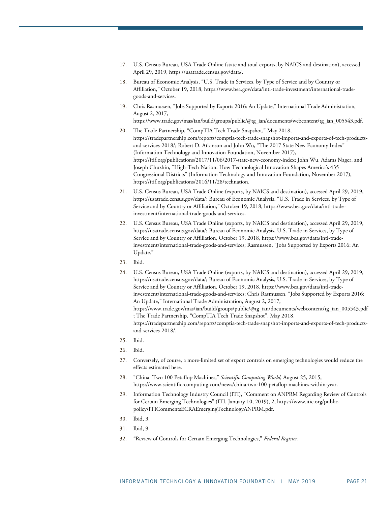- <span id="page-20-0"></span>17. U.S. Census Bureau, USA Trade Online (state and total exports, by NAICS and destination), accessed April 29, 2019, https://usatrade.census.gov/data/.
- <span id="page-20-1"></span>18. Bureau of Economic Analysis, "U.S. Trade in Services, by Type of Service and by Country or Affiliation," October 19, 2018, https://www.bea.gov/data/intl-trade-investment/international-tradegoods-and-services.
- <span id="page-20-2"></span>19. Chris Rasmussen, "Jobs Supported by Exports 2016: An Update," International Trade Administration, August 2, 2017, https://www.trade.gov/mas/ian/build/groups/public/@tg\_ian/documents/webcontent/tg\_ian\_005543.pdf.
- <span id="page-20-3"></span>20. The Trade Partnership, "CompTIA Tech Trade Snapshot," May 2018, [https://tradepartnership.com/reports/comptia-tech-trade-snapshot-imports-and-exports-of-tech-products](https://tradepartnership.com/reports/comptia-tech-trade-snapshot-imports-and-exports-of-tech-products-and-services-2018/)[and-services-2018/;](https://tradepartnership.com/reports/comptia-tech-trade-snapshot-imports-and-exports-of-tech-products-and-services-2018/) Robert D. Atkinson and John Wu, "The 2017 State New Economy Index" (Information Technology and Innovation Foundation, November 2017), [https://itif.org/publications/2017/11/06/2017-state-new-economy-index;](https://itif.org/publications/2017/11/06/2017-state-new-economy-index) John Wu, Adams Nager, and Joseph Chuzhin, "High-Tech Nation: How Technological Innovation Shapes America's 435 Congressional Districts" (Information Technology and Innovation Foundation, November 2017), https://itif.org/publications/2016/11/28/technation.
- <span id="page-20-4"></span>21. U.S. Census Bureau, USA Trade Online (exports, by NAICS and destination), accessed April 29, 2019, [https://usatrade.census.gov/data/;](https://usatrade.census.gov/data/) Bureau of Economic Analysis, "U.S. Trade in Services, by Type of Service and by Country or Affiliation," October 19, 2018, https://www.bea.gov/data/intl-tradeinvestment/international-trade-goods-and-services.
- <span id="page-20-5"></span>22. U.S. Census Bureau, USA Trade Online (exports, by NAICS and destination), accessed April 29, 2019, [https://usatrade.census.gov/data/;](https://usatrade.census.gov/data/) Bureau of Economic Analysis, U.S. Trade in Services, by Type of Service and by Country or Affiliation, October 19, 2018, [https://www.bea.gov/data/intl-trade](https://www.bea.gov/data/intl-trade-investment/international-trade-goods-and-services)[investment/international-trade-goods-and-services;](https://www.bea.gov/data/intl-trade-investment/international-trade-goods-and-services) Rasmussen, "Jobs Supported by Exports 2016: An Update."
- <span id="page-20-7"></span><span id="page-20-6"></span>23. Ibid.
- 24. U.S. Census Bureau, USA Trade Online (exports, by NAICS and destination), accessed April 29, 2019, https://usatrade.census.gov/data/; Bureau of Economic Analysis, U.S. Trade in Services, by Type of Service and by Country or Affiliation, October 19, 2018, https://www.bea.gov/data/intl-tradeinvestment/international-trade-goods-and-services; Chris Rasmussen, "Jobs Supported by Exports 2016: An Update," International Trade Administration, August 2, 2017, https://www.trade.gov/mas/ian/build/groups/public/@tg\_ian/documents/webcontent/tg\_ian\_005543.pdf ; The Trade Partnership, "CompTIA Tech Trade Snapshot", May 2018, https://tradepartnership.com/reports/comptia-tech-trade-snapshot-imports-and-exports-of-tech-productsand-services-2018/.
- <span id="page-20-8"></span>25. Ibid.
- <span id="page-20-9"></span>26. Ibid.
- <span id="page-20-10"></span>27. Conversely, of course, a more-limited set of export controls on emerging technologies would reduce the effects estimated here.
- <span id="page-20-11"></span>28. "China: Two 100 Petaflop Machines," *Scientific Computing World,* August 25, 2015, https://www.scientific-computing.com/news/china-two-100-petaflop-machines-within-year.
- <span id="page-20-12"></span>29. Information Technology Industry Council (ITI), "Comment on ANPRM Regarding Review of Controls for Certain Emerging Technologies" (ITI, January 10, 2019), 2, [https://www.itic.org/public](https://www.itic.org/public-policy/ITICommentsECRAEmergingTechnologyANPRM.pdf)[policy/ITICommentsECRAEmergingTechnologyANPRM.pdf.](https://www.itic.org/public-policy/ITICommentsECRAEmergingTechnologyANPRM.pdf)
- <span id="page-20-13"></span>30. Ibid, 3.
- <span id="page-20-14"></span>31. Ibid, 9.
- <span id="page-20-15"></span>32. "Review of Controls for Certain Emerging Technologies," *Federal Register*.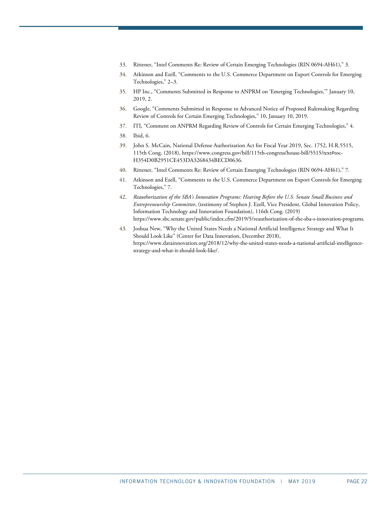- <span id="page-21-0"></span>33. Rittener, "Intel Comments Re: Review of Certain Emerging Technologies (RIN 0694-AH61)," 3.
- <span id="page-21-1"></span>34. Atkinson and Ezell, "Comments to the U.S. Commerce Department on Export Controls for Emerging Technologies," 2–3.
- <span id="page-21-2"></span>35. HP Inc., "Comments Submitted in Response to ANPRM on 'Emerging Technologies,'" January 10, 2019, 2.
- <span id="page-21-3"></span>36. Google, "Comments Submitted in Response to Advanced Notice of Proposed Rulemaking Regarding Review of Controls for Certain Emerging Technologies," 10, January 10, 2019.
- <span id="page-21-5"></span><span id="page-21-4"></span>37. ITI, "Comment on ANPRM Regarding Review of Controls for Certain Emerging Technologies," 4.
- 38. Ibid, 6.
- <span id="page-21-6"></span>39. John S. McCain, National Defense Authorization Act for Fiscal Year 2019, Sec. 1752, H.R.5515, 115th Cong. (2018), https://www.congress.gov/bill/115th-congress/house-bill/5515/text#toc-H354D0B2951CE453DA3268434BECD0636.
- <span id="page-21-7"></span>40. Rittener, "Intel Comments Re: Review of Certain Emerging Technologies (RIN 0694-AH61)," 7.
- <span id="page-21-8"></span>41. Atkinson and Ezell, "Comments to the U.S. Commerce Department on Export Controls for Emerging Technologies," 7.
- <span id="page-21-9"></span>42. *Reauthorization of the SBA's Innovation Programs: Hearing Before the U.S. Senate Small Business and Entrepreneurship Committee*, (testimony of Stephen J. Ezell, Vice President, Global Innovation Policy, Information Technology and Innovation Foundation), 116th Cong. (2019) [https://www.sbc.senate.gov/public/index.cfm/2019/5/reauthorization-of-the-sba-s-innovation-programs.](https://www.sbc.senate.gov/public/index.cfm/2019/5/reauthorization-of-the-sba-s-innovation-programs)
- <span id="page-21-10"></span>43. Joshua New, "Why the United States Needs a National Artificial Intelligence Strategy and What It Should Look Like" (Center for Data Innovation, December 2018), [https://www.datainnovation.org/2018/12/why-the-united-states-needs-a-national-artificial-intelligence](https://www.datainnovation.org/2018/12/why-the-united-states-needs-a-national-artificial-intelligence-strategy-and-what-it-should-look-like/)[strategy-and-what-it-should-look-like/.](https://www.datainnovation.org/2018/12/why-the-united-states-needs-a-national-artificial-intelligence-strategy-and-what-it-should-look-like/)